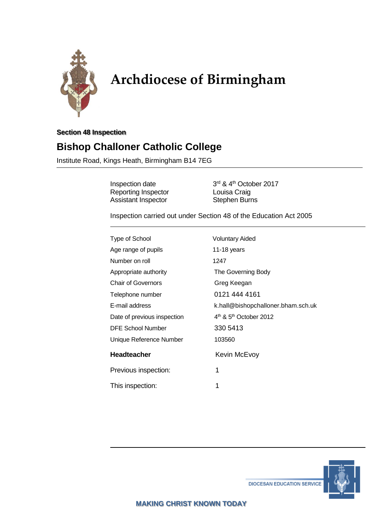

# **Archdiocese of Birmingham**

#### **Section 48 Inspection**

# **Bishop Challoner Catholic College**

Institute Road, Kings Heath, Birmingham B14 7EG

Inspection date Reporting Inspector **Louisa Craig** Assistant Inspector **Stephen Burns** 

3rd & 4<sup>th</sup> October 2017

Inspection carried out under Section 48 of the Education Act 2005

| <b>Voluntary Aided</b>                         |
|------------------------------------------------|
| 11-18 years                                    |
| 1247                                           |
| The Governing Body                             |
| Greg Keegan                                    |
| 0121 444 4161                                  |
| k.hall@bishopchalloner.bham.sch.uk             |
| 4 <sup>th</sup> & 5 <sup>th</sup> October 2012 |
| 330 5413                                       |
| 103560                                         |
| Kevin McEvoy                                   |
| 1                                              |
| 1                                              |
|                                                |



**DIOCESAN EDUCATION SERVICE**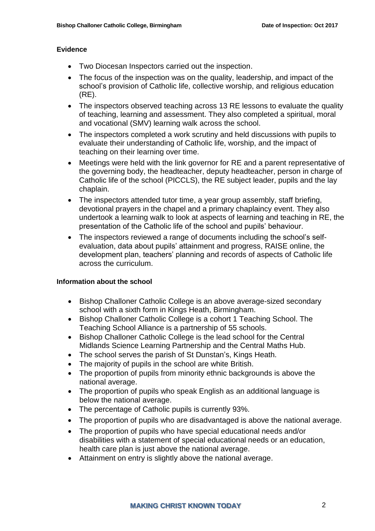#### **Evidence**

- Two Diocesan Inspectors carried out the inspection.
- The focus of the inspection was on the quality, leadership, and impact of the school's provision of Catholic life, collective worship, and religious education (RE).
- The inspectors observed teaching across 13 RE lessons to evaluate the quality of teaching, learning and assessment. They also completed a spiritual, moral and vocational (SMV) learning walk across the school.
- The inspectors completed a work scrutiny and held discussions with pupils to evaluate their understanding of Catholic life, worship, and the impact of teaching on their learning over time.
- Meetings were held with the link governor for RE and a parent representative of the governing body, the headteacher, deputy headteacher, person in charge of Catholic life of the school (PICCLS), the RE subject leader, pupils and the lay chaplain.
- The inspectors attended tutor time, a year group assembly, staff briefing, devotional prayers in the chapel and a primary chaplaincy event. They also undertook a learning walk to look at aspects of learning and teaching in RE, the presentation of the Catholic life of the school and pupils' behaviour.
- The inspectors reviewed a range of documents including the school's selfevaluation, data about pupils' attainment and progress, RAISE online, the development plan, teachers' planning and records of aspects of Catholic life across the curriculum.

#### **Information about the school**

- Bishop Challoner Catholic College is an above average-sized secondary school with a sixth form in Kings Heath, Birmingham.
- Bishop Challoner Catholic College is a cohort 1 Teaching School. The Teaching School Alliance is a partnership of 55 schools.
- Bishop Challoner Catholic College is the lead school for the Central Midlands Science Learning Partnership and the Central Maths Hub.
- The school serves the parish of St Dunstan's, Kings Heath.
- The majority of pupils in the school are white British.
- The proportion of pupils from minority ethnic backgrounds is above the national average.
- The proportion of pupils who speak English as an additional language is below the national average.
- The percentage of Catholic pupils is currently 93%.
- The proportion of pupils who are disadvantaged is above the national average.
- The proportion of pupils who have special educational needs and/or disabilities with a statement of special educational needs or an education, health care plan is just above the national average.
- Attainment on entry is slightly above the national average.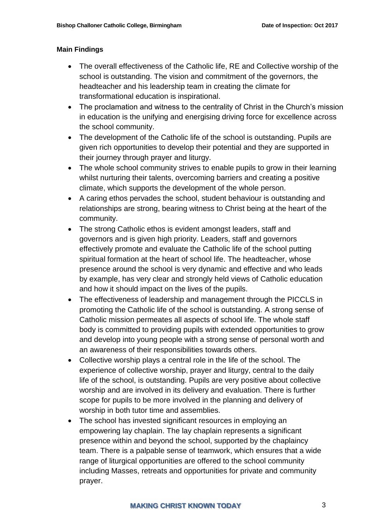#### **Main Findings**

- The overall effectiveness of the Catholic life, RE and Collective worship of the school is outstanding. The vision and commitment of the governors, the headteacher and his leadership team in creating the climate for transformational education is inspirational.
- The proclamation and witness to the centrality of Christ in the Church's mission in education is the unifying and energising driving force for excellence across the school community.
- The development of the Catholic life of the school is outstanding. Pupils are given rich opportunities to develop their potential and they are supported in their journey through prayer and liturgy.
- The whole school community strives to enable pupils to grow in their learning whilst nurturing their talents, overcoming barriers and creating a positive climate, which supports the development of the whole person.
- A caring ethos pervades the school, student behaviour is outstanding and relationships are strong, bearing witness to Christ being at the heart of the community.
- The strong Catholic ethos is evident amongst leaders, staff and governors and is given high priority. Leaders, staff and governors effectively promote and evaluate the Catholic life of the school putting spiritual formation at the heart of school life. The headteacher, whose presence around the school is very dynamic and effective and who leads by example, has very clear and strongly held views of Catholic education and how it should impact on the lives of the pupils.
- The effectiveness of leadership and management through the PICCLS in promoting the Catholic life of the school is outstanding. A strong sense of Catholic mission permeates all aspects of school life. The whole staff body is committed to providing pupils with extended opportunities to grow and develop into young people with a strong sense of personal worth and an awareness of their responsibilities towards others.
- Collective worship plays a central role in the life of the school. The experience of collective worship, prayer and liturgy, central to the daily life of the school, is outstanding. Pupils are very positive about collective worship and are involved in its delivery and evaluation. There is further scope for pupils to be more involved in the planning and delivery of worship in both tutor time and assemblies.
- The school has invested significant resources in employing an empowering lay chaplain. The lay chaplain represents a significant presence within and beyond the school, supported by the chaplaincy team. There is a palpable sense of teamwork, which ensures that a wide range of liturgical opportunities are offered to the school community including Masses, retreats and opportunities for private and community prayer.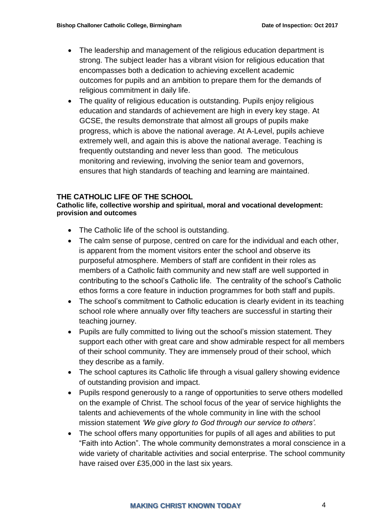- The leadership and management of the religious education department is strong. The subject leader has a vibrant vision for religious education that encompasses both a dedication to achieving excellent academic outcomes for pupils and an ambition to prepare them for the demands of religious commitment in daily life.
- The quality of religious education is outstanding. Pupils enjoy religious education and standards of achievement are high in every key stage. At GCSE, the results demonstrate that almost all groups of pupils make progress, which is above the national average. At A-Level, pupils achieve extremely well, and again this is above the national average. Teaching is frequently outstanding and never less than good. The meticulous monitoring and reviewing, involving the senior team and governors, ensures that high standards of teaching and learning are maintained.

#### **THE CATHOLIC LIFE OF THE SCHOOL**

#### **Catholic life, collective worship and spiritual, moral and vocational development: provision and outcomes**

- The Catholic life of the school is outstanding.
- The calm sense of purpose, centred on care for the individual and each other, is apparent from the moment visitors enter the school and observe its purposeful atmosphere. Members of staff are confident in their roles as members of a Catholic faith community and new staff are well supported in contributing to the school's Catholic life. The centrality of the school's Catholic ethos forms a core feature in induction programmes for both staff and pupils.
- The school's commitment to Catholic education is clearly evident in its teaching school role where annually over fifty teachers are successful in starting their teaching journey.
- Pupils are fully committed to living out the school's mission statement. They support each other with great care and show admirable respect for all members of their school community. They are immensely proud of their school, which they describe as a family.
- The school captures its Catholic life through a visual gallery showing evidence of outstanding provision and impact.
- Pupils respond generously to a range of opportunities to serve others modelled on the example of Christ. The school focus of the year of service highlights the talents and achievements of the whole community in line with the school mission statement *'We give glory to God through our service to others'.*
- The school offers many opportunities for pupils of all ages and abilities to put "Faith into Action". The whole community demonstrates a moral conscience in a wide variety of charitable activities and social enterprise. The school community have raised over £35,000 in the last six years.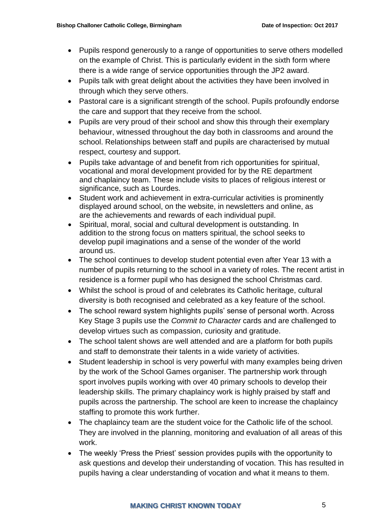- Pupils respond generously to a range of opportunities to serve others modelled on the example of Christ. This is particularly evident in the sixth form where there is a wide range of service opportunities through the JP2 award.
- Pupils talk with great delight about the activities they have been involved in through which they serve others.
- Pastoral care is a significant strength of the school. Pupils profoundly endorse the care and support that they receive from the school.
- Pupils are very proud of their school and show this through their exemplary behaviour, witnessed throughout the day both in classrooms and around the school. Relationships between staff and pupils are characterised by mutual respect, courtesy and support.
- Pupils take advantage of and benefit from rich opportunities for spiritual, vocational and moral development provided for by the RE department and chaplaincy team. These include visits to places of religious interest or significance, such as Lourdes.
- Student work and achievement in extra-curricular activities is prominently displayed around school, on the website, in newsletters and online, as are the achievements and rewards of each individual pupil.
- Spiritual, moral, social and cultural development is outstanding. In addition to the strong focus on matters spiritual, the school seeks to develop pupil imaginations and a sense of the wonder of the world around us.
- The school continues to develop student potential even after Year 13 with a number of pupils returning to the school in a variety of roles. The recent artist in residence is a former pupil who has designed the school Christmas card.
- Whilst the school is proud of and celebrates its Catholic heritage, cultural diversity is both recognised and celebrated as a key feature of the school.
- The school reward system highlights pupils' sense of personal worth. Across Key Stage 3 pupils use the *Commit to Character* cards and are challenged to develop virtues such as compassion, curiosity and gratitude.
- The school talent shows are well attended and are a platform for both pupils and staff to demonstrate their talents in a wide variety of activities.
- Student leadership in school is very powerful with many examples being driven by the work of the School Games organiser. The partnership work through sport involves pupils working with over 40 primary schools to develop their leadership skills. The primary chaplaincy work is highly praised by staff and pupils across the partnership. The school are keen to increase the chaplaincy staffing to promote this work further.
- The chaplaincy team are the student voice for the Catholic life of the school. They are involved in the planning, monitoring and evaluation of all areas of this work.
- The weekly 'Press the Priest' session provides pupils with the opportunity to ask questions and develop their understanding of vocation. This has resulted in pupils having a clear understanding of vocation and what it means to them.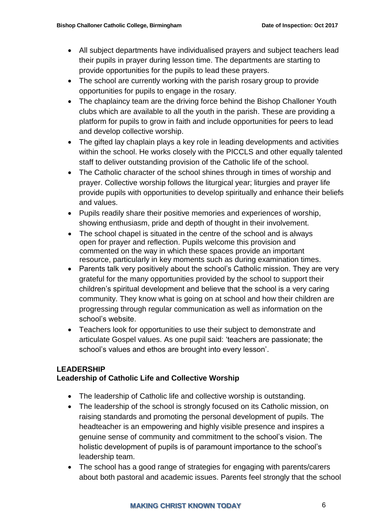- All subject departments have individualised prayers and subject teachers lead their pupils in prayer during lesson time. The departments are starting to provide opportunities for the pupils to lead these prayers.
- The school are currently working with the parish rosary group to provide opportunities for pupils to engage in the rosary.
- The chaplaincy team are the driving force behind the Bishop Challoner Youth clubs which are available to all the youth in the parish. These are providing a platform for pupils to grow in faith and include opportunities for peers to lead and develop collective worship.
- The gifted lay chaplain plays a key role in leading developments and activities within the school. He works closely with the PICCLS and other equally talented staff to deliver outstanding provision of the Catholic life of the school.
- The Catholic character of the school shines through in times of worship and prayer. Collective worship follows the liturgical year; liturgies and prayer life provide pupils with opportunities to develop spiritually and enhance their beliefs and values.
- Pupils readily share their positive memories and experiences of worship, showing enthusiasm, pride and depth of thought in their involvement.
- The school chapel is situated in the centre of the school and is always open for prayer and reflection. Pupils welcome this provision and commented on the way in which these spaces provide an important resource, particularly in key moments such as during examination times.
- Parents talk very positively about the school's Catholic mission. They are very grateful for the many opportunities provided by the school to support their children's spiritual development and believe that the school is a very caring community. They know what is going on at school and how their children are progressing through regular communication as well as information on the school's website.
- Teachers look for opportunities to use their subject to demonstrate and articulate Gospel values. As one pupil said: 'teachers are passionate; the school's values and ethos are brought into every lesson'.

#### **LEADERSHIP**

# **Leadership of Catholic Life and Collective Worship**

- The leadership of Catholic life and collective worship is outstanding.
- The leadership of the school is strongly focused on its Catholic mission, on raising standards and promoting the personal development of pupils. The headteacher is an empowering and highly visible presence and inspires a genuine sense of community and commitment to the school's vision. The holistic development of pupils is of paramount importance to the school's leadership team.
- The school has a good range of strategies for engaging with parents/carers about both pastoral and academic issues. Parents feel strongly that the school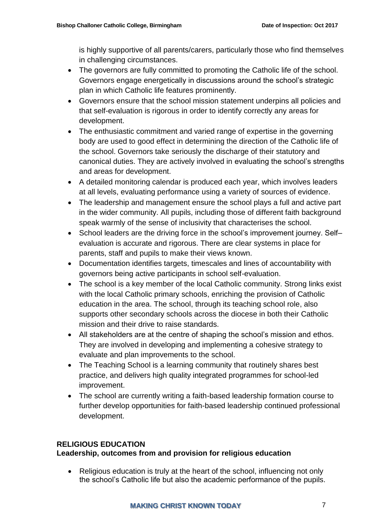is highly supportive of all parents/carers, particularly those who find themselves in challenging circumstances.

- The governors are fully committed to promoting the Catholic life of the school. Governors engage energetically in discussions around the school's strategic plan in which Catholic life features prominently.
- Governors ensure that the school mission statement underpins all policies and that self-evaluation is rigorous in order to identify correctly any areas for development.
- The enthusiastic commitment and varied range of expertise in the governing body are used to good effect in determining the direction of the Catholic life of the school. Governors take seriously the discharge of their statutory and canonical duties. They are actively involved in evaluating the school's strengths and areas for development.
- A detailed monitoring calendar is produced each year, which involves leaders at all levels, evaluating performance using a variety of sources of evidence.
- The leadership and management ensure the school plays a full and active part in the wider community. All pupils, including those of different faith background speak warmly of the sense of inclusivity that characterises the school.
- School leaders are the driving force in the school's improvement journey. Self– evaluation is accurate and rigorous. There are clear systems in place for parents, staff and pupils to make their views known.
- Documentation identifies targets, timescales and lines of accountability with governors being active participants in school self-evaluation.
- The school is a key member of the local Catholic community. Strong links exist with the local Catholic primary schools, enriching the provision of Catholic education in the area. The school, through its teaching school role, also supports other secondary schools across the diocese in both their Catholic mission and their drive to raise standards.
- All stakeholders are at the centre of shaping the school's mission and ethos. They are involved in developing and implementing a cohesive strategy to evaluate and plan improvements to the school.
- The Teaching School is a learning community that routinely shares best practice, and delivers high quality integrated programmes for school-led improvement.
- The school are currently writing a faith-based leadership formation course to further develop opportunities for faith-based leadership continued professional development.

# **RELIGIOUS EDUCATION**

# **Leadership, outcomes from and provision for religious education**

• Religious education is truly at the heart of the school, influencing not only the school's Catholic life but also the academic performance of the pupils.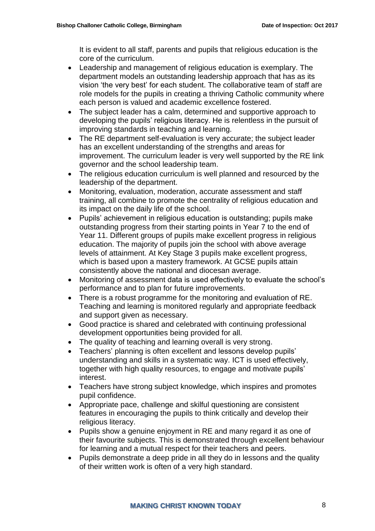It is evident to all staff, parents and pupils that religious education is the core of the curriculum.

- Leadership and management of religious education is exemplary. The department models an outstanding leadership approach that has as its vision 'the very best' for each student. The collaborative team of staff are role models for the pupils in creating a thriving Catholic community where each person is valued and academic excellence fostered.
- The subject leader has a calm, determined and supportive approach to developing the pupils' religious literacy. He is relentless in the pursuit of improving standards in teaching and learning.
- The RE department self-evaluation is very accurate; the subject leader has an excellent understanding of the strengths and areas for improvement. The curriculum leader is very well supported by the RE link governor and the school leadership team.
- The religious education curriculum is well planned and resourced by the leadership of the department.
- Monitoring, evaluation, moderation, accurate assessment and staff training, all combine to promote the centrality of religious education and its impact on the daily life of the school.
- Pupils' achievement in religious education is outstanding; pupils make outstanding progress from their starting points in Year 7 to the end of Year 11. Different groups of pupils make excellent progress in religious education. The majority of pupils join the school with above average levels of attainment. At Key Stage 3 pupils make excellent progress, which is based upon a mastery framework. At GCSE pupils attain consistently above the national and diocesan average.
- Monitoring of assessment data is used effectively to evaluate the school's performance and to plan for future improvements.
- There is a robust programme for the monitoring and evaluation of RE. Teaching and learning is monitored regularly and appropriate feedback and support given as necessary.
- Good practice is shared and celebrated with continuing professional development opportunities being provided for all.
- The quality of teaching and learning overall is very strong.
- Teachers' planning is often excellent and lessons develop pupils' understanding and skills in a systematic way. ICT is used effectively, together with high quality resources, to engage and motivate pupils' interest.
- Teachers have strong subject knowledge, which inspires and promotes pupil confidence.
- Appropriate pace, challenge and skilful questioning are consistent features in encouraging the pupils to think critically and develop their religious literacy.
- Pupils show a genuine enjoyment in RE and many regard it as one of their favourite subjects. This is demonstrated through excellent behaviour for learning and a mutual respect for their teachers and peers.
- Pupils demonstrate a deep pride in all they do in lessons and the quality of their written work is often of a very high standard.